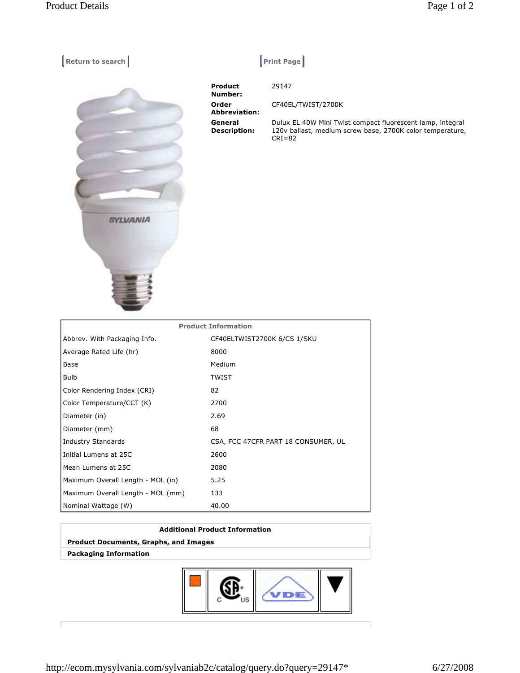| <b>Return to search</b> |  | <b>Print Page</b> |
|-------------------------|--|-------------------|
|-------------------------|--|-------------------|



| <b>Product</b><br>Number:      | 29147                                                                                                                                 |
|--------------------------------|---------------------------------------------------------------------------------------------------------------------------------------|
| Order<br><b>Abbreviation:</b>  | CF40EL/TWIST/2700K                                                                                                                    |
| General<br><b>Description:</b> | Dulux EL 40W Mini Twist compact fluorescent lamp, integral<br>120v ballast, medium screw base, 2700K color temperature,<br>$CRI = 82$ |

| <b>Product Information</b>        |                                     |  |  |
|-----------------------------------|-------------------------------------|--|--|
| Abbrev. With Packaging Info.      | CF40ELTWIST2700K 6/CS 1/SKU         |  |  |
| Average Rated Life (hr)           | 8000                                |  |  |
| Base                              | Medium                              |  |  |
| Bulb                              | <b>TWIST</b>                        |  |  |
| Color Rendering Index (CRI)       | 82                                  |  |  |
| Color Temperature/CCT (K)         | 2700                                |  |  |
| Diameter (in)                     | 2.69                                |  |  |
| Diameter (mm)                     | 68                                  |  |  |
| <b>Industry Standards</b>         | CSA, FCC 47CFR PART 18 CONSUMER, UL |  |  |
| Initial Lumens at 25C             | 2600                                |  |  |
| Mean Lumens at 25C                | 2080                                |  |  |
| Maximum Overall Length - MOL (in) | 5.25                                |  |  |
| Maximum Overall Length - MOL (mm) | 133                                 |  |  |
| Nominal Wattage (W)               | 40.00                               |  |  |

## **Additional Product Information Product Documents, Graphs, and Images**

 **Packaging Information**



http://ecom.mysylvania.com/sylvaniab2c/catalog/query.do?query=29147\* 6/27/2008